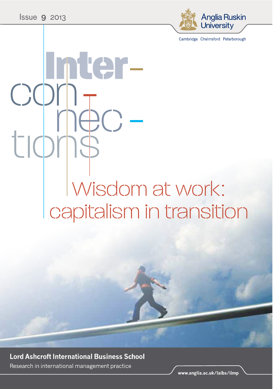Issue 9 2013



Cambridge Chelmsford Peterborough

Inter- $COMP+$ tions<sup>c</sup> Wisdom at work: capitalism in transition

**Lord Ashcroft International Business School** 

Research in international management practice

www.anglia.ac.uk/laibs/iimp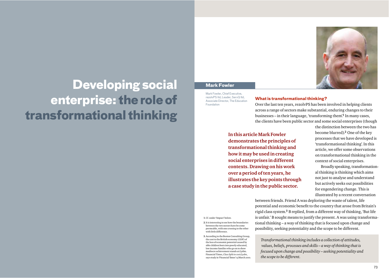

# **Mark Fowler**

Mark Fowler, Chief Executive, rezolvPS ltd, Leader, ServQ ltd, Associate Director, The Education Foundation

# **What is transformational thinking?**

Over the last ten years, rezolvPS has been involved in helping clients across a range of sectors make substantial, enduring changes to their businesses – in their language, 'transforming them'.**<sup>1</sup>** In many cases, the clients have been public sector and some social enterprises (though

**In this article Mark Fowler demonstrates the principles of transformational thinking and how it may be used in creating social enterprises in different contexts. Drawing on his work over a period of ten years, he illustrates the key points through a case study in the public sector.**

the distinction between the two has become blurred).**<sup>2</sup>** One of the key processes that we have developed is 'transformational thinking'. In this article, we offer some observations on transformational thinking in the context of social enterprises.

Broadly speaking, transformational thinking is thinking which aims not just to analyse and understand but actively seeks out possibilities for engendering change. This is illustrated by a recent conversation

between friends. Friend A was deploring the waste of talent, life potential and economic benefit to the country that arose from Britain's rigid class system.**<sup>3</sup>** B replied, from a different way of thinking, 'But life is unfair.' B sought means to justify the present. A was using transformational thinking – a way of thinking that is focused upon change and possibility, seeking potentiality and the scope to be different.

*Transformational thinking includes a collection of attitudes, values, beliefs, processes and skills – a way of thinking that is focused upon change and possibility – seeking potentiality and the scope to be different.*

# **Developingsocial enterprise: theroleof transformational thinking**

**1**.Cf. under 'Impact' below.

- **2**.It is interesting to see how the boundaries between the two sectors have be come permeable, with one crossing to the other .<br>with little difference.
- **3**.According to the Boston Consulting Group, the cost to the British economy (GDP) of the loss of economic potential caused by able children born into poorly educated, low income families who go on to show mediocre achievement stands at £56bn. Financial Times, *Class Split to cost £50bn*, says study in 'Financial Tımes' 15 March 2010.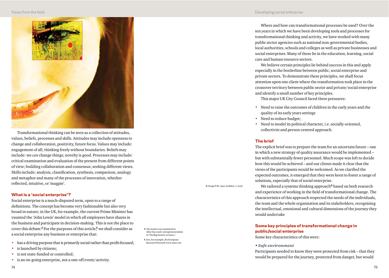

Transformational thinking can be seen as a collection of attitudes, values, beliefs, processes and skills. Attitudes may include openness to change and collaboration, positivity, future focus. Values may include: engagement of all; thinking freely without boundaries. Beliefs may include: we *can* change things; novelty is good. Processes may include: critical examination and evaluation of the present from different points of view; building collaboration and consensus; seeking different views. Skills include: analysis, classification, synthesis, comparison, analogy and metaphor and many of the processes of innovation, whether reflected, intuitive, or 'magpie'.

# **What is a 'social enterprise'?**

Social enterprise is a much-disputed term, open to a range of definitions. The concept has become very fashionable but also very broad in nature; in the UK, for example, the current Prime Minister has vaunted the 'John Lewis' model in which all employees have shares in the business and participate in decision-making. This is not the place to cover this debate.**<sup>4</sup>** For the purposes of this article,**<sup>5</sup>** we shall consider as a social enterprise any business or enterprise that:

- has a driving purpose that is primarily social rather than profit-focused;
- is launched by citizens:
- is not state-funded or controlled;
- is an on-going enterprise, not a one-off event/activity.

**6**.Senge P.M. 1990; Seddon, J. 2008

**4**.The matter was examined in: After the crash: entrepreneurialism in 'The Big Society' in Issue 7

**5**.See, for example, the European Research Network www.emes.net

Where and how can transformational processes be used? Over the ten years in which we have been developing tools and processes for transformational thinking and activity, we have worked with many public sector agencies such as national non-governmental bodies, local authorities, schools and colleges as well as private businesses and social enterprises. Many of these lie in the education, learning, social care and human resource sectors.

We believe certain principles lie behind success in this and apply especially in the borderline between public, social enterprise and private sectors. To demonstrate these principles, we shall focus attention upon one client where the transformation took place in the crossover territory between public sector and private/social enterprise and identify a small number of key principles.

This major UK City Council faced three pressures:

- Need to raise the outcomes of children in the early years and the quality of its early years settings
- Need to reduce budget;
- Need to model its political character, i.e. socially-oriented, collectivist and person-centred approach.

# **The brief**

The explicit brief was to prepare the team for an uncertain future – one in which a new strategy of quality assurance would be implemented – but with substantially fewer personnel. Much scope was left to decide how this would be achieved – and our clients made it clear that the views of the participants would be welcomed. As we clarified the expected outcomes, it emerged that they were keen to foster a range of solutions, especially that of social enterprise.

We tailored a systems thinking approach**<sup>6</sup>** based on both research and experience of working in the field of transformational change. The characteristics of this approach respected the needs of the individuals, the team and the whole organisation and its stakeholders, recognising the intellectual, emotional and cultural dimensions of the journey they would undertake

**Some key principles of transformational change in public/social enterprise**

Some key characteristics of this were:

# • *Safe environment*

Participants needed to know they were protected from risk – that they would be prepared for the journey, protected from danger, but would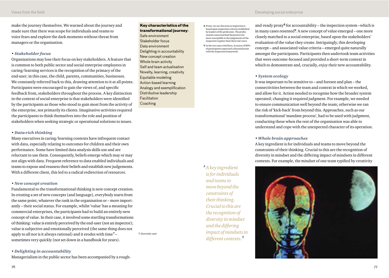make the journey themselves. We warned about the journey and made sure that there was scope for individuals and teams to voice fears and explore the dark moments without threat from managers or the organisation.

# • *Stakeholder focus*

Organisations may lose their focus on key stakeholders. A feature that is common to both public sector and social enterprise employees in caring/learning services is the recognition of the primacy of the end-user; in this case, the child, parents, communities, businesses. We constantly referred back to this, drawing attention to it at all points. Participants were encouraged to gain the views of, and specific feedback from, stakeholders throughout the process. A key distinction in the context of social enterprise is that stakeholders were identified by the participants as those who stood to gain most from the activity of the enterprise, not primarily its clients. Imaginative activities required the participants to think themselves into the role and position of stakeholders when seeking strategic or operational solutions to issues.

# • *Data-rich thinking*

Many executives in caring/learning contexts have infrequent contact with data, especially relating to outcomes for children and their own performance. Some have limited data analysis skills use and are reluctant to use them. Consequently, beliefs emerge which may or may not align with data. Frequent reference to data enabled individuals and teams to expose and reassess their beliefs and establish new judgements. With a different client, this led to a radical redirection of resources.

# • *New concept creation*

Fundamental to the transformational thinking is new concept creation. In creating a set of new concepts (and language), everybody starts from the same point, whatever the rank in the organisation or – more importantly – their social status. For example, whilst 'value' has a meaning for commercial enterprises, the participants had to build an entirely new concept of value. In their case, it involved some startling transformations of thinking: value is entirely perceived by the end-user (not an inspector); value is subjective and emotionally perceived (the same thing does not apply to all nor is it always rational) and it erodes with time**<sup>7</sup>** – sometimes very quickly (not set down in a handbook for years).

**8**.Proxy; we use this term as inspection is based upon inspection criteria established by leaders of the profession. The professionals concerned find themselves far more susceptible to the judgements of the inspection regimes than their end-users. **9**.In the two cases cited here, in excess of 80%

**Key characteristics of the transformational journey**:

Delighting in accountability New concept creation Whole brain activity Self and team actualisation Novelty, learning, creativity

Safe environment Stakeholder focus Data environment

Equitable modeling Action-based learning Analogy and exemplification Distributive leadership

**Facilitation Coaching** 

of participants expressed a dissatisfaction with the inspection framework.

and-ready proxy**<sup>8</sup>** for accountability – the inspection system –which is in many cases resented<sup>9</sup>. A new concept of value emerged – one more closely matched to a social enterprise, based upon the stakeholders' evaluation of the value they create. Intriguingly, this developing concept – and associated value criteria – emerged quite naturally amongst the participants. Participants then undertook team activities that were outcome-focused and provided a short-term context in which to demonstrate and, crucially, *enjoy* their new accountability.

# • *System ecology*

It was important to be sensitive to – and foresee and plan – the connectivities between the team and context in which we worked, and allow for it. Action needed to recognise how the broader system operated; changing it required judgment. For example, we needed to ensure communication well beyond the team; otherwise we ran the risk of 'kick-back' from beyond this. Approaches, such as our transformational 'mandate process', had to be used with judgment, conducting these when the rest of the organisation was able to understand and cope with the unexpected character of its operation.

# • *Whole brain approaches*

A key ingredient is for individuals and teams to move beyond the constraints of their thinking. Crucial to this are the recognition of diversity in mindset and the differing impact of mindsets in different contexts. For example, the mindset of one team typified by creativity

**'***A key ingredient is for individuals and teams to move beyond the constraints of their thinking. Crucial to this are the recognition of diversity in mindset and the differing impact of mindsets in different contexts.***' <sup>7</sup>**. Slywotsky 1996



#### • *Delighting in accountability*

Managerialism in the public sector has been accompanied by a rough-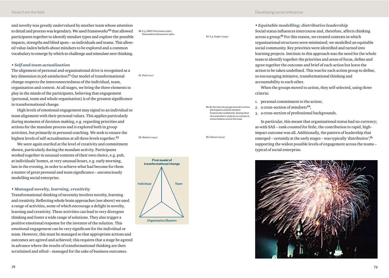and novelty was greatly undervalued by another team whose attention to detail and process was legendary. We used frameworks**<sup>10</sup>** that allowed participants together to identify mindset types and explore the possible impacts, strengths and blind spots – as individuals and teams. This allowed value-laden beliefs about mindsets to be explored and a common vocabulary to emerge by which to challenge and stimulate new thinking.

# • *Self and team actualisation*

The alignment of personal and organisational drive is recognised as a key dimension in job satisfaction.**<sup>11</sup>** Our model of transformational change respects the interconnectedness of the individual, team, organisation and context. At all stages, we bring the three elements to play in the minds of the participants, believing that engagement (personal, team and whole organisation) is of the greatest significance in transformational change.

High levels of emotional engagement may signal to an individual or team alignment with their personal values. This applies particularly during moments of decision-making, e.g. regarding priorities and actions for the mandate process and is explored both in group activities, but primarily in personal coaching. We seek to ensure the highest levels of self-actualisation at all three levels together.**<sup>12</sup>**

We were again startled at the level of creativity and commitment shown, particularly during the mandate activity. Participants worked together in unusual contexts of their own choice, e.g. pub, at individuals' homes, at very unusual hours, e.g. early morning, late in the evening, in order to achieve what had become for them a matter of great personal and team significance – unconsciously modelling social enterprise.

## • *Managed novelty, learning, creativity*

Transformational thinking of necessity involves novelty, learning and creativity. Reflecting whole brain approaches (see above) we used a range of activities, some of which encourage a delight in novelty, learning and creativity. These activities can lead to very divergent thinking and foster a wide range of solutions. They also trigger a positive emotional response for the inventor of the solution. This emotional engagement can be very significant for the individual or team. However, this must be managed so that appropriate actions and outcomes are agreed and achieved; this requires that a stage be agreed in advance where the results of transformational thinking are then scrutinised and sifted – managed for the sake of business outcomes.

**10**. E.g. HBDI (Herrmann 1996); Rationalities(Glennester 1980)

# • *Equitable modelling; distributive leadership*

Social status influences intercourse and, therefore, affects thinking across a group.**<sup>13</sup>** For this reason, we created contexts in which organisational structures were minimised; we modelled an equitable social community. Key priorities were identified and turned into learning projects. Intrinsic to this approach was the need for the whole team to identify together the priorities and areas of focus, define and agree together the outcome and brief of each action but leave the action to be taken undefined. This was for each action group to define, so encouraging initiative, transformational thinking and accountability to each other.

When the groups moved to action, they self-selected, using three criteria:

- 1. personal commitment to the action;
- 2. a cross-section of mindsets**<sup>14</sup>**;
- 3. a cross-section of professional backgrounds.

In particular, this meant that organisational status had no currency; as with SAS – rank counted for little; the contribution to rapid, highimpact outcome was all. Additionally, the pattern of leadership that emerged – certainly at the early stages – was typically 'distributive',**<sup>15</sup>** supporting the widest possible levels of engagement across the teams – typical of social enterprise.



**11**. Pink (2011)

**12**. Maslow (1943)

Individual

**First model of transformational change**

Team

Organisation/System

**13**. E.g. Kogler (1999)

**14**. By the time the groups moved to action, participants used the mindset frameworks confidently, sharing their own and others' analyses as a means to ensure balance across the team.

**15**. Elmore (2003)